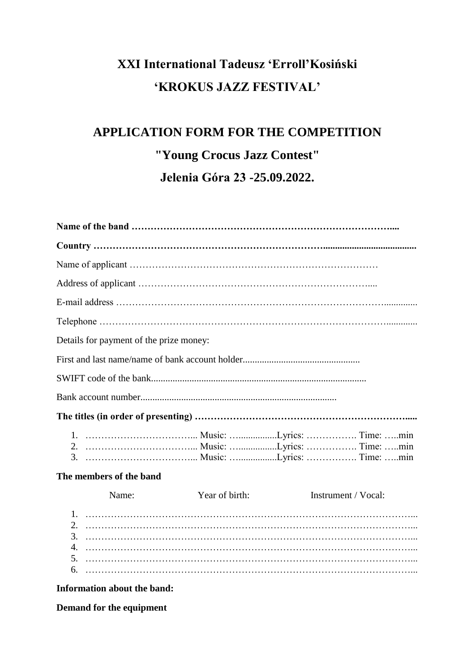## **XXI International Tadeusz 'Erroll'Kosiński 'KROKUS JAZZ FESTIVAL'**

## **APPLICATION FORM FOR THE COMPETITION "Young Crocus Jazz Contest" Jelenia Góra 23 -25.09.2022.**

| Details for payment of the prize money: |       |                |                     |
|-----------------------------------------|-------|----------------|---------------------|
|                                         |       |                |                     |
|                                         |       |                |                     |
|                                         |       |                |                     |
|                                         |       |                |                     |
|                                         |       |                |                     |
| The members of the band                 |       |                |                     |
|                                         | Name: | Year of birth: | Instrument / Vocal: |
| 3.<br>4.<br>5.                          |       |                |                     |
| 6.                                      |       |                |                     |

**Information about the band:**

**Demand for the equipment**